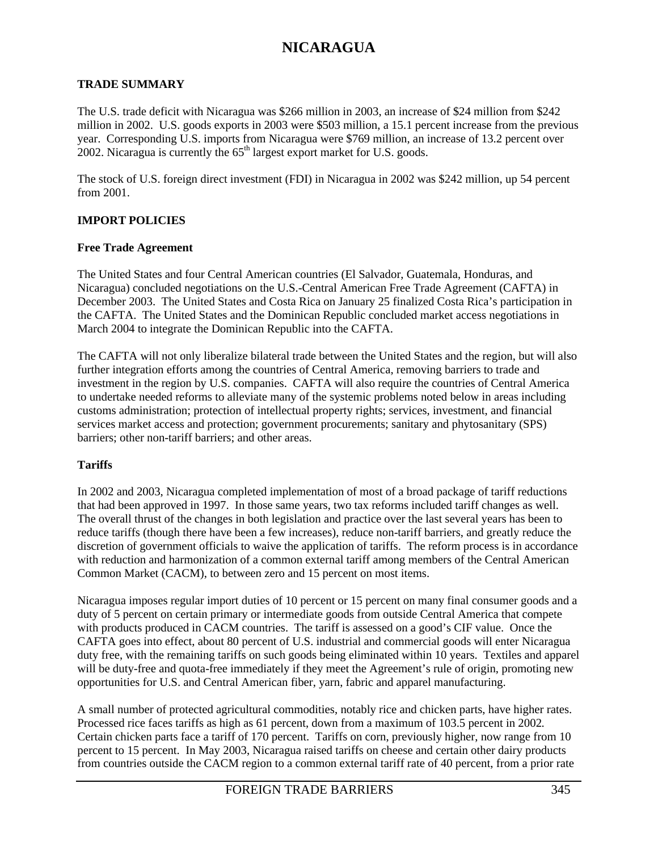#### **TRADE SUMMARY**

The U.S. trade deficit with Nicaragua was \$266 million in 2003, an increase of \$24 million from \$242 million in 2002. U.S. goods exports in 2003 were \$503 million, a 15.1 percent increase from the previous year. Corresponding U.S. imports from Nicaragua were \$769 million, an increase of 13.2 percent over 2002. Nicaragua is currently the  $65<sup>th</sup>$  largest export market for U.S. goods.

The stock of U.S. foreign direct investment (FDI) in Nicaragua in 2002 was \$242 million, up 54 percent from 2001.

#### **IMPORT POLICIES**

#### **Free Trade Agreement**

The United States and four Central American countries (El Salvador, Guatemala, Honduras, and Nicaragua) concluded negotiations on the U.S.-Central American Free Trade Agreement (CAFTA) in December 2003. The United States and Costa Rica on January 25 finalized Costa Rica's participation in the CAFTA. The United States and the Dominican Republic concluded market access negotiations in March 2004 to integrate the Dominican Republic into the CAFTA.

The CAFTA will not only liberalize bilateral trade between the United States and the region, but will also further integration efforts among the countries of Central America, removing barriers to trade and investment in the region by U.S. companies. CAFTA will also require the countries of Central America to undertake needed reforms to alleviate many of the systemic problems noted below in areas including customs administration; protection of intellectual property rights; services, investment, and financial services market access and protection; government procurements; sanitary and phytosanitary (SPS) barriers; other non-tariff barriers; and other areas.

### **Tariffs**

In 2002 and 2003, Nicaragua completed implementation of most of a broad package of tariff reductions that had been approved in 1997. In those same years, two tax reforms included tariff changes as well. The overall thrust of the changes in both legislation and practice over the last several years has been to reduce tariffs (though there have been a few increases), reduce non-tariff barriers, and greatly reduce the discretion of government officials to waive the application of tariffs. The reform process is in accordance with reduction and harmonization of a common external tariff among members of the Central American Common Market (CACM), to between zero and 15 percent on most items.

Nicaragua imposes regular import duties of 10 percent or 15 percent on many final consumer goods and a duty of 5 percent on certain primary or intermediate goods from outside Central America that compete with products produced in CACM countries. The tariff is assessed on a good's CIF value. Once the CAFTA goes into effect, about 80 percent of U.S. industrial and commercial goods will enter Nicaragua duty free, with the remaining tariffs on such goods being eliminated within 10 years. Textiles and apparel will be duty-free and quota-free immediately if they meet the Agreement's rule of origin, promoting new opportunities for U.S. and Central American fiber, yarn, fabric and apparel manufacturing.

A small number of protected agricultural commodities, notably rice and chicken parts, have higher rates. Processed rice faces tariffs as high as 61 percent, down from a maximum of 103.5 percent in 2002*.* Certain chicken parts face a tariff of 170 percent. Tariffs on corn, previously higher, now range from 10 percent to 15 percent. In May 2003, Nicaragua raised tariffs on cheese and certain other dairy products from countries outside the CACM region to a common external tariff rate of 40 percent, from a prior rate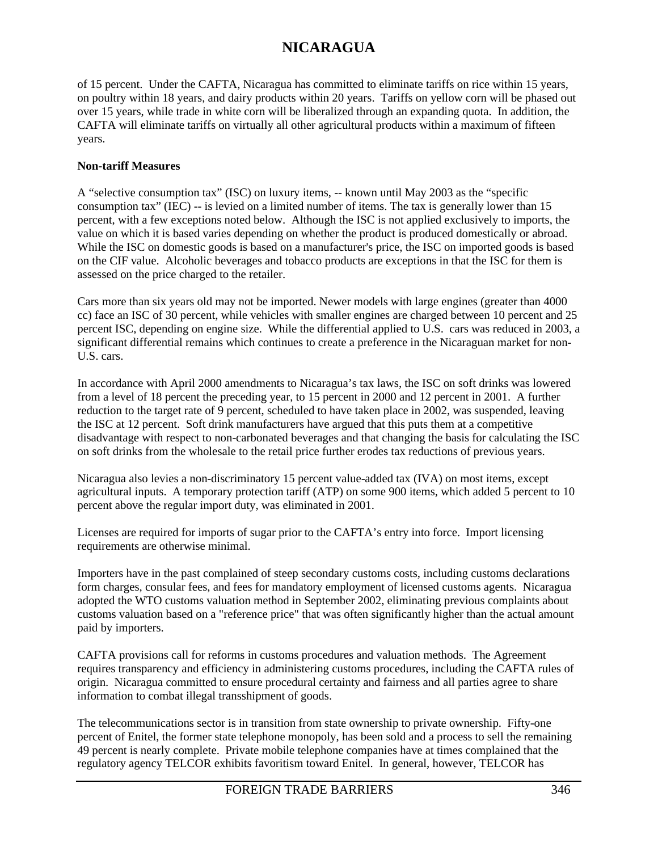of 15 percent. Under the CAFTA, Nicaragua has committed to eliminate tariffs on rice within 15 years, on poultry within 18 years, and dairy products within 20 years. Tariffs on yellow corn will be phased out over 15 years, while trade in white corn will be liberalized through an expanding quota. In addition, the CAFTA will eliminate tariffs on virtually all other agricultural products within a maximum of fifteen years.

### **Non-tariff Measures**

A "selective consumption tax" (ISC) on luxury items, -- known until May 2003 as the "specific consumption tax" (IEC) -- is levied on a limited number of items. The tax is generally lower than 15 percent, with a few exceptions noted below. Although the ISC is not applied exclusively to imports, the value on which it is based varies depending on whether the product is produced domestically or abroad. While the ISC on domestic goods is based on a manufacturer's price, the ISC on imported goods is based on the CIF value. Alcoholic beverages and tobacco products are exceptions in that the ISC for them is assessed on the price charged to the retailer.

Cars more than six years old may not be imported. Newer models with large engines (greater than 4000 cc) face an ISC of 30 percent, while vehicles with smaller engines are charged between 10 percent and 25 percent ISC, depending on engine size. While the differential applied to U.S. cars was reduced in 2003, a significant differential remains which continues to create a preference in the Nicaraguan market for non-U.S. cars.

In accordance with April 2000 amendments to Nicaragua's tax laws, the ISC on soft drinks was lowered from a level of 18 percent the preceding year, to 15 percent in 2000 and 12 percent in 2001. A further reduction to the target rate of 9 percent, scheduled to have taken place in 2002, was suspended, leaving the ISC at 12 percent. Soft drink manufacturers have argued that this puts them at a competitive disadvantage with respect to non-carbonated beverages and that changing the basis for calculating the ISC on soft drinks from the wholesale to the retail price further erodes tax reductions of previous years.

Nicaragua also levies a non-discriminatory 15 percent value-added tax (IVA) on most items, except agricultural inputs. A temporary protection tariff (ATP) on some 900 items, which added 5 percent to 10 percent above the regular import duty, was eliminated in 2001.

Licenses are required for imports of sugar prior to the CAFTA's entry into force. Import licensing requirements are otherwise minimal.

Importers have in the past complained of steep secondary customs costs, including customs declarations form charges, consular fees, and fees for mandatory employment of licensed customs agents. Nicaragua adopted the WTO customs valuation method in September 2002, eliminating previous complaints about customs valuation based on a "reference price" that was often significantly higher than the actual amount paid by importers.

CAFTA provisions call for reforms in customs procedures and valuation methods. The Agreement requires transparency and efficiency in administering customs procedures, including the CAFTA rules of origin. Nicaragua committed to ensure procedural certainty and fairness and all parties agree to share information to combat illegal transshipment of goods.

The telecommunications sector is in transition from state ownership to private ownership. Fifty-one percent of Enitel, the former state telephone monopoly, has been sold and a process to sell the remaining 49 percent is nearly complete. Private mobile telephone companies have at times complained that the regulatory agency TELCOR exhibits favoritism toward Enitel. In general, however, TELCOR has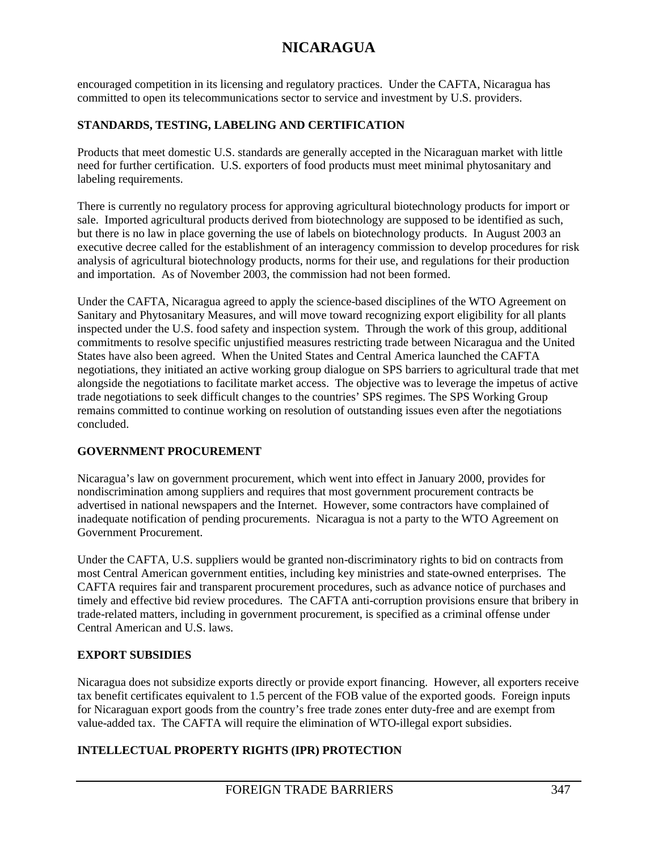encouraged competition in its licensing and regulatory practices. Under the CAFTA, Nicaragua has committed to open its telecommunications sector to service and investment by U.S. providers.

## **STANDARDS, TESTING, LABELING AND CERTIFICATION**

Products that meet domestic U.S. standards are generally accepted in the Nicaraguan market with little need for further certification. U.S. exporters of food products must meet minimal phytosanitary and labeling requirements.

There is currently no regulatory process for approving agricultural biotechnology products for import or sale. Imported agricultural products derived from biotechnology are supposed to be identified as such, but there is no law in place governing the use of labels on biotechnology products. In August 2003 an executive decree called for the establishment of an interagency commission to develop procedures for risk analysis of agricultural biotechnology products, norms for their use, and regulations for their production and importation. As of November 2003, the commission had not been formed.

Under the CAFTA, Nicaragua agreed to apply the science-based disciplines of the WTO Agreement on Sanitary and Phytosanitary Measures, and will move toward recognizing export eligibility for all plants inspected under the U.S. food safety and inspection system. Through the work of this group, additional commitments to resolve specific unjustified measures restricting trade between Nicaragua and the United States have also been agreed. When the United States and Central America launched the CAFTA negotiations, they initiated an active working group dialogue on SPS barriers to agricultural trade that met alongside the negotiations to facilitate market access. The objective was to leverage the impetus of active trade negotiations to seek difficult changes to the countries' SPS regimes. The SPS Working Group remains committed to continue working on resolution of outstanding issues even after the negotiations concluded.

## **GOVERNMENT PROCUREMENT**

Nicaragua's law on government procurement, which went into effect in January 2000, provides for nondiscrimination among suppliers and requires that most government procurement contracts be advertised in national newspapers and the Internet. However, some contractors have complained of inadequate notification of pending procurements. Nicaragua is not a party to the WTO Agreement on Government Procurement.

Under the CAFTA, U.S. suppliers would be granted non-discriminatory rights to bid on contracts from most Central American government entities, including key ministries and state-owned enterprises. The CAFTA requires fair and transparent procurement procedures, such as advance notice of purchases and timely and effective bid review procedures. The CAFTA anti-corruption provisions ensure that bribery in trade-related matters, including in government procurement, is specified as a criminal offense under Central American and U.S. laws.

## **EXPORT SUBSIDIES**

Nicaragua does not subsidize exports directly or provide export financing. However, all exporters receive tax benefit certificates equivalent to 1.5 percent of the FOB value of the exported goods. Foreign inputs for Nicaraguan export goods from the country's free trade zones enter duty-free and are exempt from value-added tax. The CAFTA will require the elimination of WTO-illegal export subsidies.

## **INTELLECTUAL PROPERTY RIGHTS (IPR) PROTECTION**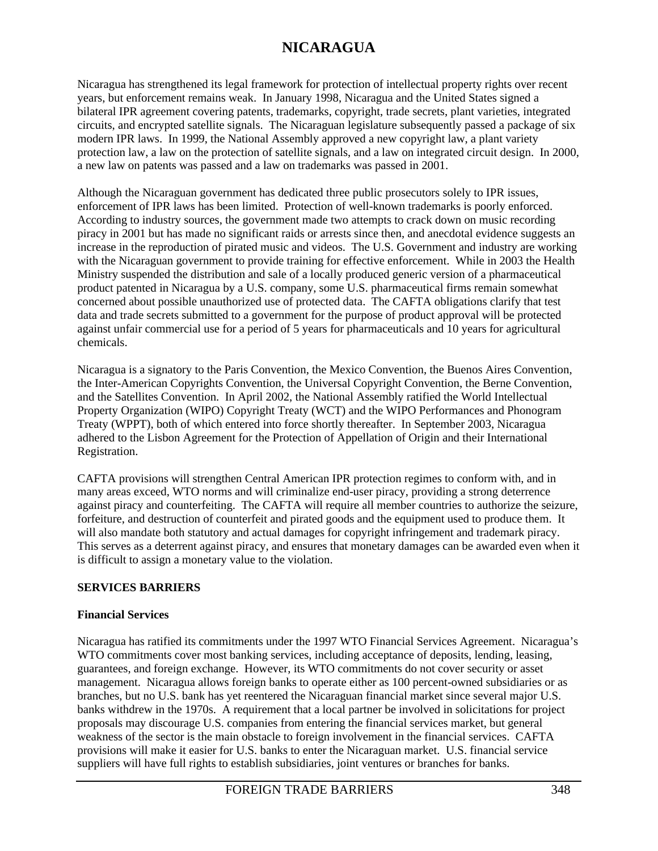Nicaragua has strengthened its legal framework for protection of intellectual property rights over recent years, but enforcement remains weak. In January 1998, Nicaragua and the United States signed a bilateral IPR agreement covering patents, trademarks, copyright, trade secrets, plant varieties, integrated circuits, and encrypted satellite signals. The Nicaraguan legislature subsequently passed a package of six modern IPR laws. In 1999, the National Assembly approved a new copyright law, a plant variety protection law, a law on the protection of satellite signals, and a law on integrated circuit design. In 2000, a new law on patents was passed and a law on trademarks was passed in 2001.

Although the Nicaraguan government has dedicated three public prosecutors solely to IPR issues, enforcement of IPR laws has been limited. Protection of well-known trademarks is poorly enforced. According to industry sources, the government made two attempts to crack down on music recording piracy in 2001 but has made no significant raids or arrests since then, and anecdotal evidence suggests an increase in the reproduction of pirated music and videos. The U.S. Government and industry are working with the Nicaraguan government to provide training for effective enforcement. While in 2003 the Health Ministry suspended the distribution and sale of a locally produced generic version of a pharmaceutical product patented in Nicaragua by a U.S. company, some U.S. pharmaceutical firms remain somewhat concerned about possible unauthorized use of protected data. The CAFTA obligations clarify that test data and trade secrets submitted to a government for the purpose of product approval will be protected against unfair commercial use for a period of 5 years for pharmaceuticals and 10 years for agricultural chemicals.

Nicaragua is a signatory to the Paris Convention, the Mexico Convention, the Buenos Aires Convention, the Inter-American Copyrights Convention, the Universal Copyright Convention, the Berne Convention, and the Satellites Convention. In April 2002, the National Assembly ratified the World Intellectual Property Organization (WIPO) Copyright Treaty (WCT) and the WIPO Performances and Phonogram Treaty (WPPT), both of which entered into force shortly thereafter. In September 2003, Nicaragua adhered to the Lisbon Agreement for the Protection of Appellation of Origin and their International Registration.

CAFTA provisions will strengthen Central American IPR protection regimes to conform with, and in many areas exceed, WTO norms and will criminalize end-user piracy, providing a strong deterrence against piracy and counterfeiting. The CAFTA will require all member countries to authorize the seizure, forfeiture, and destruction of counterfeit and pirated goods and the equipment used to produce them. It will also mandate both statutory and actual damages for copyright infringement and trademark piracy. This serves as a deterrent against piracy, and ensures that monetary damages can be awarded even when it is difficult to assign a monetary value to the violation.

## **SERVICES BARRIERS**

### **Financial Services**

Nicaragua has ratified its commitments under the 1997 WTO Financial Services Agreement. Nicaragua's WTO commitments cover most banking services, including acceptance of deposits, lending, leasing, guarantees, and foreign exchange. However, its WTO commitments do not cover security or asset management. Nicaragua allows foreign banks to operate either as 100 percent-owned subsidiaries or as branches, but no U.S. bank has yet reentered the Nicaraguan financial market since several major U.S. banks withdrew in the 1970s. A requirement that a local partner be involved in solicitations for project proposals may discourage U.S. companies from entering the financial services market, but general weakness of the sector is the main obstacle to foreign involvement in the financial services. CAFTA provisions will make it easier for U.S. banks to enter the Nicaraguan market. U.S. financial service suppliers will have full rights to establish subsidiaries, joint ventures or branches for banks.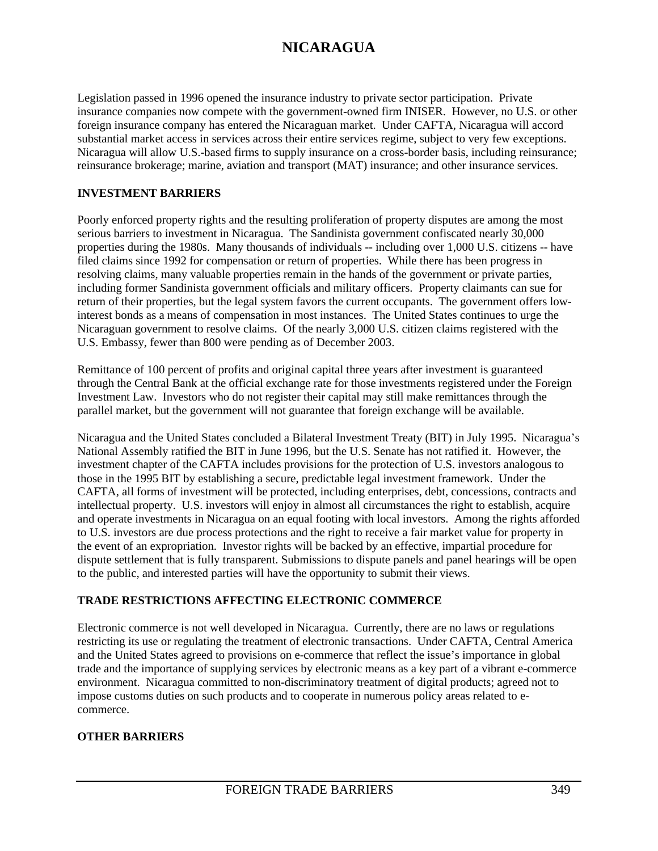Legislation passed in 1996 opened the insurance industry to private sector participation. Private insurance companies now compete with the government-owned firm INISER. However, no U.S. or other foreign insurance company has entered the Nicaraguan market. Under CAFTA, Nicaragua will accord substantial market access in services across their entire services regime, subject to very few exceptions. Nicaragua will allow U.S.-based firms to supply insurance on a cross-border basis, including reinsurance; reinsurance brokerage; marine, aviation and transport (MAT) insurance; and other insurance services.

### **INVESTMENT BARRIERS**

Poorly enforced property rights and the resulting proliferation of property disputes are among the most serious barriers to investment in Nicaragua. The Sandinista government confiscated nearly 30,000 properties during the 1980s. Many thousands of individuals -- including over 1,000 U.S. citizens -- have filed claims since 1992 for compensation or return of properties. While there has been progress in resolving claims, many valuable properties remain in the hands of the government or private parties, including former Sandinista government officials and military officers. Property claimants can sue for return of their properties, but the legal system favors the current occupants. The government offers lowinterest bonds as a means of compensation in most instances. The United States continues to urge the Nicaraguan government to resolve claims. Of the nearly 3,000 U.S. citizen claims registered with the U.S. Embassy, fewer than 800 were pending as of December 2003.

Remittance of 100 percent of profits and original capital three years after investment is guaranteed through the Central Bank at the official exchange rate for those investments registered under the Foreign Investment Law. Investors who do not register their capital may still make remittances through the parallel market, but the government will not guarantee that foreign exchange will be available.

Nicaragua and the United States concluded a Bilateral Investment Treaty (BIT) in July 1995. Nicaragua's National Assembly ratified the BIT in June 1996, but the U.S. Senate has not ratified it. However, the investment chapter of the CAFTA includes provisions for the protection of U.S. investors analogous to those in the 1995 BIT by establishing a secure, predictable legal investment framework. Under the CAFTA, all forms of investment will be protected, including enterprises, debt, concessions, contracts and intellectual property. U.S. investors will enjoy in almost all circumstances the right to establish, acquire and operate investments in Nicaragua on an equal footing with local investors. Among the rights afforded to U.S. investors are due process protections and the right to receive a fair market value for property in the event of an expropriation. Investor rights will be backed by an effective, impartial procedure for dispute settlement that is fully transparent. Submissions to dispute panels and panel hearings will be open to the public, and interested parties will have the opportunity to submit their views.

### **TRADE RESTRICTIONS AFFECTING ELECTRONIC COMMERCE**

Electronic commerce is not well developed in Nicaragua. Currently, there are no laws or regulations restricting its use or regulating the treatment of electronic transactions. Under CAFTA, Central America and the United States agreed to provisions on e-commerce that reflect the issue's importance in global trade and the importance of supplying services by electronic means as a key part of a vibrant e-commerce environment. Nicaragua committed to non-discriminatory treatment of digital products; agreed not to impose customs duties on such products and to cooperate in numerous policy areas related to ecommerce.

## **OTHER BARRIERS**